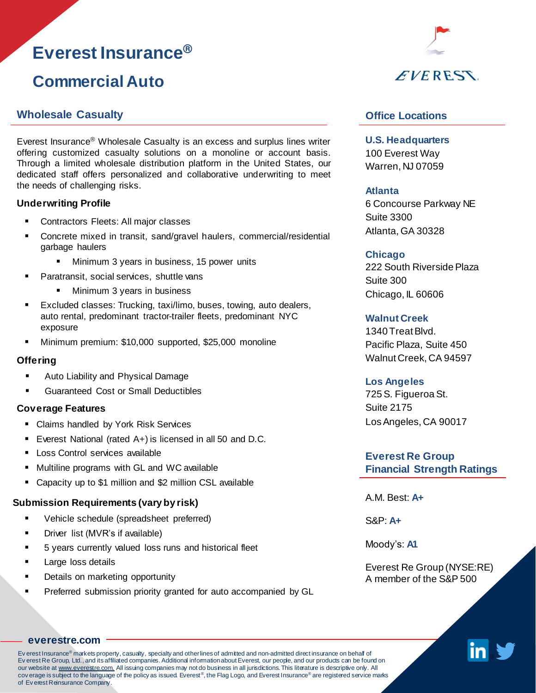# **Everest Insurance®**

## **Commercial Auto**

### **Wholesale Casualty**

Everest Insurance® Wholesale Casualty is an excess and surplus lines writer offering customized casualty solutions on a monoline or account basis. Through a limited wholesale distribution platform in the United States, our dedicated staff offers personalized and collaborative underwriting to meet the needs of challenging risks.

#### **Underwriting Profile**

- Contractors Fleets: All major classes
- Concrete mixed in transit, sand/gravel haulers, commercial/residential garbage haulers
	- Minimum 3 years in business, 15 power units
- Paratransit, social services, shuttle vans
	- Minimum 3 years in business
- Excluded classes: Trucking, taxi/limo, buses, towing, auto dealers, auto rental, predominant tractor-trailer fleets, predominant NYC exposure
- Minimum premium: \$10,000 supported, \$25,000 monoline

#### **Offering**

- Auto Liability and Physical Damage
- **Guaranteed Cost or Small Deductibles**

#### **Coverage Features**

- Claims handled by York Risk Services
- Everest National (rated A+) is licensed in all 50 and D.C.
- **E** Loss Control services available
- Multiline programs with GL and WC available
- Capacity up to \$1 million and \$2 million CSL available

#### **Submission Requirements (vary by risk)**

- Vehicle schedule (spreadsheet preferred)
- **•** Driver list (MVR's if available)
- 5 years currently valued loss runs and historical fleet
- Large loss details
- Details on marketing opportunity
- Preferred submission priority granted for auto accompanied by GL



## **Office Locations**

**U.S. Headquarters**  100 Everest Way Warren, NJ 07059

#### **Atlanta**

6 Concourse Parkway NE Suite 3300 Atlanta, GA 30328

### **Chicago**

222 South Riverside Plaza Suite 300 Chicago, IL 60606

### **Walnut Creek**

1340 TreatBlvd. Pacific Plaza, Suite 450 Walnut Creek, CA 94597

#### **Los Angeles**

725S. Figueroa St. Suite 2175 LosAngeles, CA 90017

**Everest Re Group Financial Strength Ratings**

A.M. Best: **A+**

S&P: **A+**

Moody's: **A1**

Everest Re Group (NYSE:RE) A member of the S&P 500



### **[everestre.com](http://www.everestre.com/)**

Ev erest Insurance® markets property, casualty, specialty and other lines of admitted and non-admitted direct insurance on behalf of Ev erest Re Group, Ltd., and its affiliated companies. Additional information about Everest, our people, and our products can be found on our website at www.everestre.com. All issuing companies may not do business in all jurisdictions. This literature is descriptive only. All cov erage is subject to the language of the policy as issued. Everest®, the Flag Logo, and Everest Insurance® are registered service marks of Ev erest Reinsurance Company.